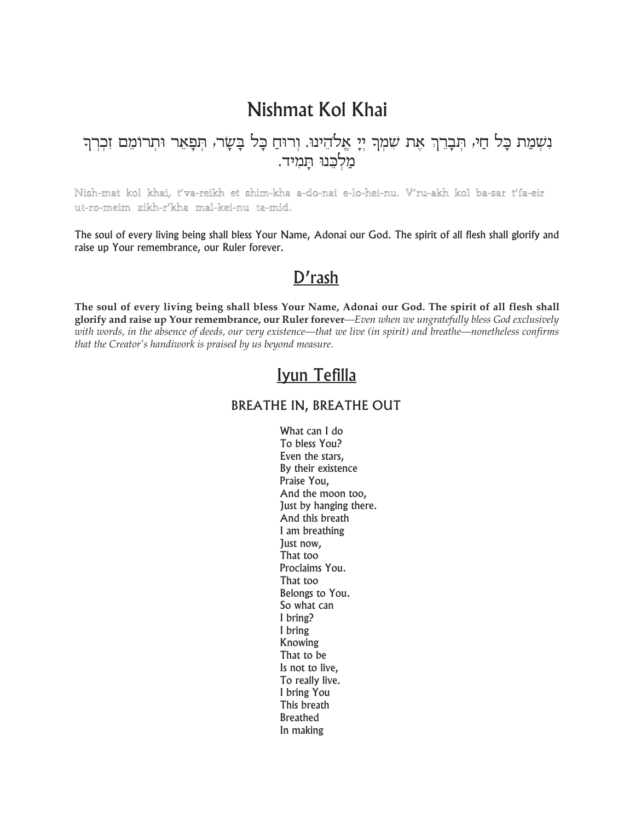# Nishmat Kol Khai

## נִשְׁמַת כָּל חַי, תְּבָרֵךְ אֶת שִׁמְךָ יְיָ אֱלֹהֵינוּ. וְרוּחַ כָּל בָשָׂר, תְפָאֵר וּתְרוֹמֵם זִכְרְךָ מלכנו תמיד.

#### Nish-mat kol khai, t'va-reikh et shim-kha a-do-nai e-lo-hei-nu. V'ru-akh kol ba-sar t'fa-eir ut-ro-meim zikh-r'kha mal-kei-nu ta-mid.

The soul of every living being shall bless Your Name, Adonai our God. The spirit of all flesh shall glorify and raise up Your remembrance, our Ruler forever.

### D'rash

The soul of every living being shall bless Your Name, Adonai our God. The spirit of all flesh shall glorify and raise up Your remembrance, our Ruler forever-Even when we ungratefully bless God exclusively with words, in the absence of deeds, our very existence—that we live (in spirit) and breathe—nonetheless confirms that the Creator's handiwork is praised by us beyond measure.

### Iyun Tefilla

#### **BREATHE IN, BREATHE OUT**

What can I do To bless You? Even the stars, By their existence Praise You, And the moon too, Just by hanging there. And this breath I am breathing Just now, That too Proclaims You. That too Belongs to You. So what can I bring? I bring Knowing That to be Is not to live, To really live. I bring You This breath **Breathed** In making